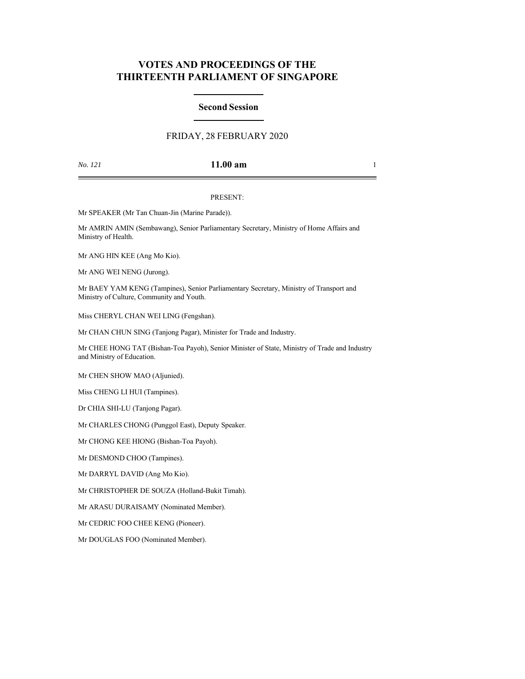# **VOTES AND PROCEEDINGS OF THE THIRTEENTH PARLIAMENT OF SINGAPORE**

## **Second Session**

## FRIDAY, 28 FEBRUARY 2020

### *No. 121* **11.00 am** 1

#### PRESENT:

Mr SPEAKER (Mr Tan Chuan-Jin (Marine Parade)).

Mr AMRIN AMIN (Sembawang), Senior Parliamentary Secretary, Ministry of Home Affairs and Ministry of Health.

Mr ANG HIN KEE (Ang Mo Kio).

Mr ANG WEI NENG (Jurong).

Mr BAEY YAM KENG (Tampines), Senior Parliamentary Secretary, Ministry of Transport and Ministry of Culture, Community and Youth.

Miss CHERYL CHAN WEI LING (Fengshan).

Mr CHAN CHUN SING (Tanjong Pagar), Minister for Trade and Industry.

Mr CHEE HONG TAT (Bishan-Toa Payoh), Senior Minister of State, Ministry of Trade and Industry and Ministry of Education.

Mr CHEN SHOW MAO (Aljunied).

Miss CHENG LI HUI (Tampines).

Dr CHIA SHI-LU (Tanjong Pagar).

Mr CHARLES CHONG (Punggol East), Deputy Speaker.

Mr CHONG KEE HIONG (Bishan-Toa Payoh).

Mr DESMOND CHOO (Tampines).

Mr DARRYL DAVID (Ang Mo Kio).

Mr CHRISTOPHER DE SOUZA (Holland-Bukit Timah).

Mr ARASU DURAISAMY (Nominated Member).

Mr CEDRIC FOO CHEE KENG (Pioneer).

Mr DOUGLAS FOO (Nominated Member).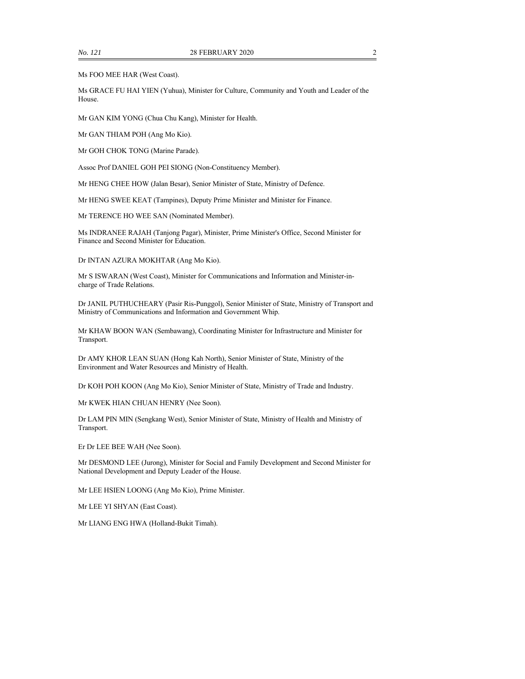Ms FOO MEE HAR (West Coast).

Ms GRACE FU HAI YIEN (Yuhua), Minister for Culture, Community and Youth and Leader of the House.

Mr GAN KIM YONG (Chua Chu Kang), Minister for Health.

Mr GAN THIAM POH (Ang Mo Kio).

Mr GOH CHOK TONG (Marine Parade).

Assoc Prof DANIEL GOH PEI SIONG (Non-Constituency Member).

Mr HENG CHEE HOW (Jalan Besar), Senior Minister of State, Ministry of Defence.

Mr HENG SWEE KEAT (Tampines), Deputy Prime Minister and Minister for Finance.

Mr TERENCE HO WEE SAN (Nominated Member).

Ms INDRANEE RAJAH (Tanjong Pagar), Minister, Prime Minister's Office, Second Minister for Finance and Second Minister for Education.

Dr INTAN AZURA MOKHTAR (Ang Mo Kio).

Mr S ISWARAN (West Coast), Minister for Communications and Information and Minister-incharge of Trade Relations.

Dr JANIL PUTHUCHEARY (Pasir Ris-Punggol), Senior Minister of State, Ministry of Transport and Ministry of Communications and Information and Government Whip.

Mr KHAW BOON WAN (Sembawang), Coordinating Minister for Infrastructure and Minister for Transport.

Dr AMY KHOR LEAN SUAN (Hong Kah North), Senior Minister of State, Ministry of the Environment and Water Resources and Ministry of Health.

Dr KOH POH KOON (Ang Mo Kio), Senior Minister of State, Ministry of Trade and Industry.

Mr KWEK HIAN CHUAN HENRY (Nee Soon).

Dr LAM PIN MIN (Sengkang West), Senior Minister of State, Ministry of Health and Ministry of Transport.

Er Dr LEE BEE WAH (Nee Soon).

Mr DESMOND LEE (Jurong), Minister for Social and Family Development and Second Minister for National Development and Deputy Leader of the House.

Mr LEE HSIEN LOONG (Ang Mo Kio), Prime Minister.

Mr LEE YI SHYAN (East Coast).

Mr LIANG ENG HWA (Holland-Bukit Timah).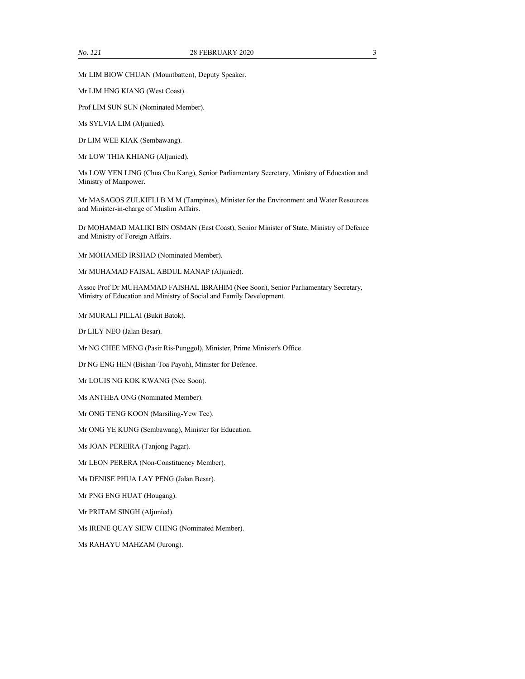Mr LIM BIOW CHUAN (Mountbatten), Deputy Speaker.

Mr LIM HNG KIANG (West Coast).

Prof LIM SUN SUN (Nominated Member).

Ms SYLVIA LIM (Aljunied).

Dr LIM WEE KIAK (Sembawang).

Mr LOW THIA KHIANG (Aljunied).

Ms LOW YEN LING (Chua Chu Kang), Senior Parliamentary Secretary, Ministry of Education and Ministry of Manpower.

Mr MASAGOS ZULKIFLI B M M (Tampines), Minister for the Environment and Water Resources and Minister-in-charge of Muslim Affairs.

Dr MOHAMAD MALIKI BIN OSMAN (East Coast), Senior Minister of State, Ministry of Defence and Ministry of Foreign Affairs.

Mr MOHAMED IRSHAD (Nominated Member).

Mr MUHAMAD FAISAL ABDUL MANAP (Aljunied).

Assoc Prof Dr MUHAMMAD FAISHAL IBRAHIM (Nee Soon), Senior Parliamentary Secretary, Ministry of Education and Ministry of Social and Family Development.

Mr MURALI PILLAI (Bukit Batok).

Dr LILY NEO (Jalan Besar).

Mr NG CHEE MENG (Pasir Ris-Punggol), Minister, Prime Minister's Office.

Dr NG ENG HEN (Bishan-Toa Payoh), Minister for Defence.

Mr LOUIS NG KOK KWANG (Nee Soon).

Ms ANTHEA ONG (Nominated Member).

Mr ONG TENG KOON (Marsiling-Yew Tee).

Mr ONG YE KUNG (Sembawang), Minister for Education.

Ms JOAN PEREIRA (Tanjong Pagar).

Mr LEON PERERA (Non-Constituency Member).

Ms DENISE PHUA LAY PENG (Jalan Besar).

Mr PNG ENG HUAT (Hougang).

Mr PRITAM SINGH (Aljunied).

Ms IRENE QUAY SIEW CHING (Nominated Member).

Ms RAHAYU MAHZAM (Jurong).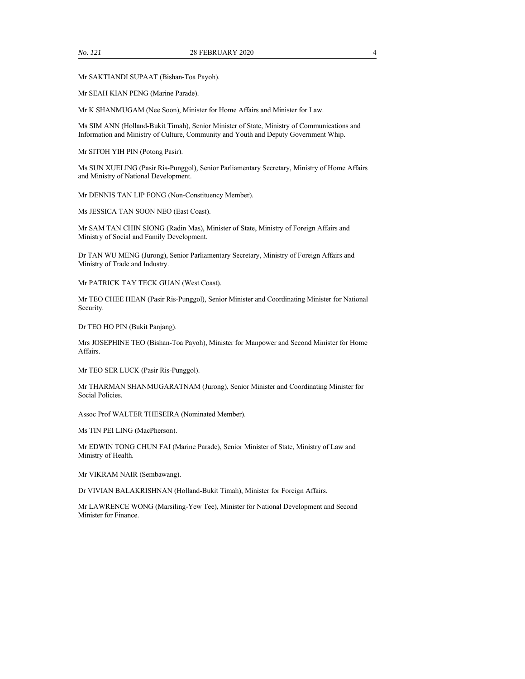Mr SAKTIANDI SUPAAT (Bishan-Toa Payoh).

Mr SEAH KIAN PENG (Marine Parade).

Mr K SHANMUGAM (Nee Soon), Minister for Home Affairs and Minister for Law.

Ms SIM ANN (Holland-Bukit Timah), Senior Minister of State, Ministry of Communications and Information and Ministry of Culture, Community and Youth and Deputy Government Whip.

Mr SITOH YIH PIN (Potong Pasir).

Ms SUN XUELING (Pasir Ris-Punggol), Senior Parliamentary Secretary, Ministry of Home Affairs and Ministry of National Development.

Mr DENNIS TAN LIP FONG (Non-Constituency Member).

Ms JESSICA TAN SOON NEO (East Coast).

Mr SAM TAN CHIN SIONG (Radin Mas), Minister of State, Ministry of Foreign Affairs and Ministry of Social and Family Development.

Dr TAN WU MENG (Jurong), Senior Parliamentary Secretary, Ministry of Foreign Affairs and Ministry of Trade and Industry.

Mr PATRICK TAY TECK GUAN (West Coast).

Mr TEO CHEE HEAN (Pasir Ris-Punggol), Senior Minister and Coordinating Minister for National Security.

Dr TEO HO PIN (Bukit Panjang).

Mrs JOSEPHINE TEO (Bishan-Toa Payoh), Minister for Manpower and Second Minister for Home Affairs.

Mr TEO SER LUCK (Pasir Ris-Punggol).

Mr THARMAN SHANMUGARATNAM (Jurong), Senior Minister and Coordinating Minister for Social Policies.

Assoc Prof WALTER THESEIRA (Nominated Member).

Ms TIN PEI LING (MacPherson).

Mr EDWIN TONG CHUN FAI (Marine Parade), Senior Minister of State, Ministry of Law and Ministry of Health.

Mr VIKRAM NAIR (Sembawang).

Dr VIVIAN BALAKRISHNAN (Holland-Bukit Timah), Minister for Foreign Affairs.

Mr LAWRENCE WONG (Marsiling-Yew Tee), Minister for National Development and Second Minister for Finance.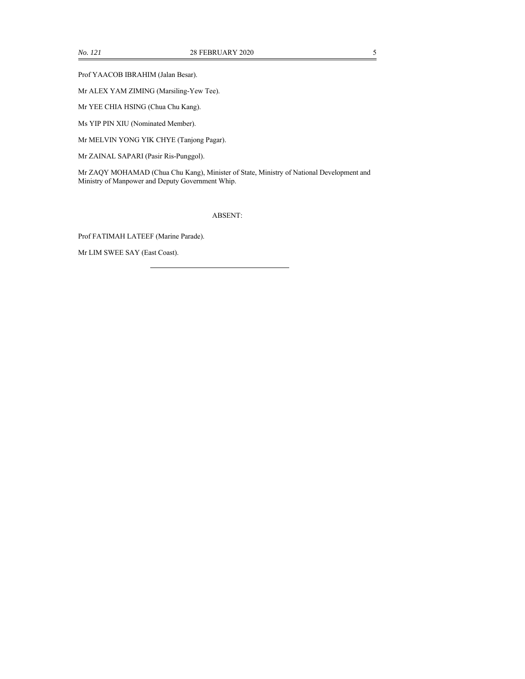Prof YAACOB IBRAHIM (Jalan Besar).

Mr ALEX YAM ZIMING (Marsiling-Yew Tee).

Mr YEE CHIA HSING (Chua Chu Kang).

Ms YIP PIN XIU (Nominated Member).

Mr MELVIN YONG YIK CHYE (Tanjong Pagar).

Mr ZAINAL SAPARI (Pasir Ris-Punggol).

Mr ZAQY MOHAMAD (Chua Chu Kang), Minister of State, Ministry of National Development and Ministry of Manpower and Deputy Government Whip.

ABSENT:

Prof FATIMAH LATEEF (Marine Parade).

Mr LIM SWEE SAY (East Coast).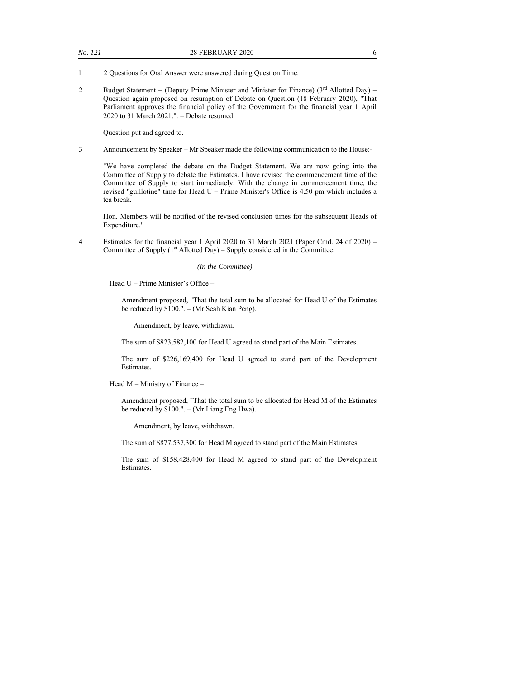1 2 Questions for Oral Answer were answered during Question Time.

2 Budget Statement – (Deputy Prime Minister and Minister for Finance) ( $3<sup>rd</sup>$  Allotted Day) – Question again proposed on resumption of Debate on Question (18 February 2020), "That Parliament approves the financial policy of the Government for the financial year 1 April 2020 to 31 March 2021.". Debate resumed.

Question put and agreed to.

3 Announcement by Speaker – Mr Speaker made the following communication to the House:-

"We have completed the debate on the Budget Statement. We are now going into the Committee of Supply to debate the Estimates. I have revised the commencement time of the Committee of Supply to start immediately. With the change in commencement time, the revised "guillotine" time for Head U – Prime Minister's Office is 4.50 pm which includes a tea break.

Hon. Members will be notified of the revised conclusion times for the subsequent Heads of Expenditure."

4 Estimates for the financial year 1 April 2020 to 31 March 2021 (Paper Cmd. 24 of 2020) – Committee of Supply (1<sup>st</sup> Allotted Day) – Supply considered in the Committee:

#### *(In the Committee)*

Head U – Prime Minister's Office –

Amendment proposed, "That the total sum to be allocated for Head U of the Estimates be reduced by \$100.". – (Mr Seah Kian Peng).

Amendment, by leave, withdrawn.

The sum of \$823,582,100 for Head U agreed to stand part of the Main Estimates.

The sum of \$226,169,400 for Head U agreed to stand part of the Development Estimates.

Head M – Ministry of Finance –

Amendment proposed, "That the total sum to be allocated for Head M of the Estimates be reduced by \$100.". – (Mr Liang Eng Hwa).

Amendment, by leave, withdrawn.

The sum of \$877,537,300 for Head M agreed to stand part of the Main Estimates.

The sum of \$158,428,400 for Head M agreed to stand part of the Development Estimates.